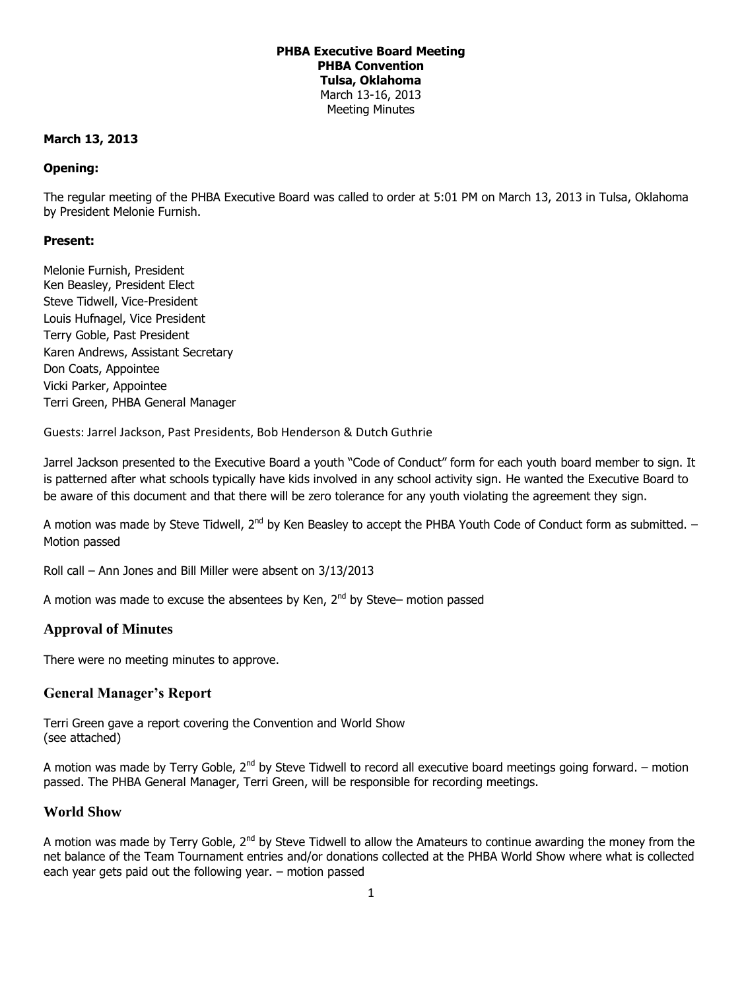# **PHBA Executive Board Meeting PHBA Convention Tulsa, Oklahoma** March 13-16, 2013 Meeting Minutes

## **March 13, 2013**

# **Opening:**

The regular meeting of the PHBA Executive Board was called to order at 5:01 PM on March 13, 2013 in Tulsa, Oklahoma by President Melonie Furnish.

## **Present:**

Melonie Furnish, President Ken Beasley, President Elect Steve Tidwell, Vice-President Louis Hufnagel, Vice President Terry Goble, Past President Karen Andrews, Assistant Secretary Don Coats, Appointee Vicki Parker, Appointee Terri Green, PHBA General Manager

Guests: Jarrel Jackson, Past Presidents, Bob Henderson & Dutch Guthrie

Jarrel Jackson presented to the Executive Board a youth "Code of Conduct" form for each youth board member to sign. It is patterned after what schools typically have kids involved in any school activity sign. He wanted the Executive Board to be aware of this document and that there will be zero tolerance for any youth violating the agreement they sign.

A motion was made by Steve Tidwell,  $2^{nd}$  by Ken Beasley to accept the PHBA Youth Code of Conduct form as submitted.  $-$ Motion passed

Roll call – Ann Jones and Bill Miller were absent on 3/13/2013

A motion was made to excuse the absentees by Ken,  $2^{nd}$  by Steve– motion passed

# **Approval of Minutes**

There were no meeting minutes to approve.

# **General Manager's Report**

Terri Green gave a report covering the Convention and World Show (see attached)

A motion was made by Terry Goble,  $2^{nd}$  by Steve Tidwell to record all executive board meetings going forward. – motion passed. The PHBA General Manager, Terri Green, will be responsible for recording meetings.

## **World Show**

A motion was made by Terry Goble,  $2^{nd}$  by Steve Tidwell to allow the Amateurs to continue awarding the money from the net balance of the Team Tournament entries and/or donations collected at the PHBA World Show where what is collected each year gets paid out the following year. – motion passed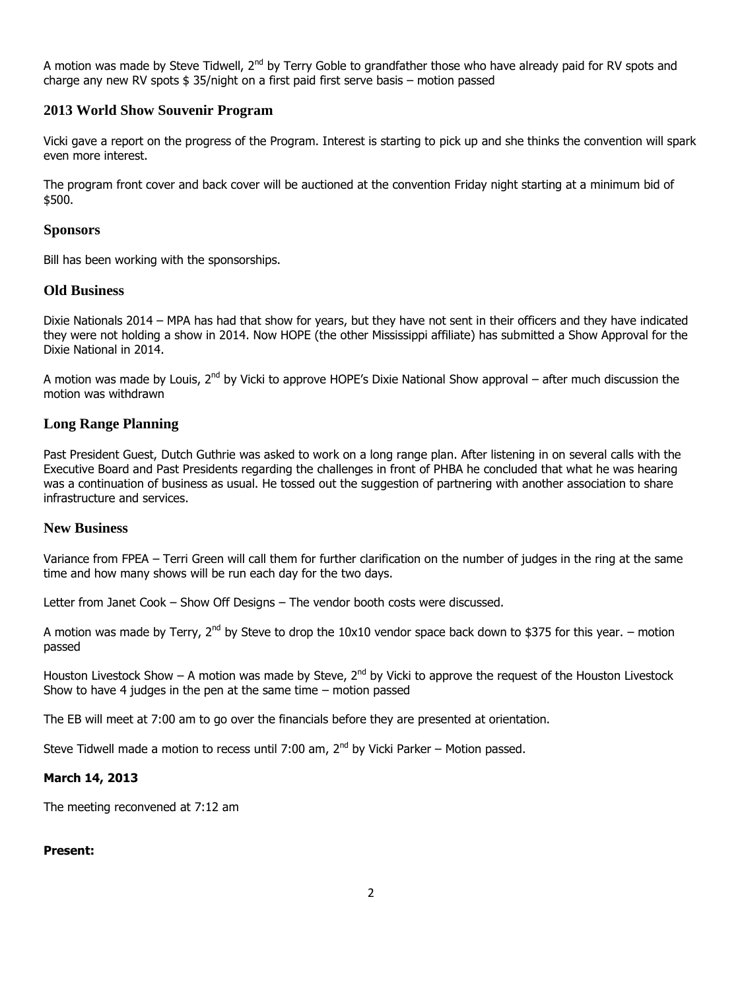A motion was made by Steve Tidwell, 2<sup>nd</sup> by Terry Goble to grandfather those who have already paid for RV spots and charge any new RV spots \$ 35/night on a first paid first serve basis – motion passed

# **2013 World Show Souvenir Program**

Vicki gave a report on the progress of the Program. Interest is starting to pick up and she thinks the convention will spark even more interest.

The program front cover and back cover will be auctioned at the convention Friday night starting at a minimum bid of \$500.

### **Sponsors**

Bill has been working with the sponsorships.

## **Old Business**

Dixie Nationals 2014 – MPA has had that show for years, but they have not sent in their officers and they have indicated they were not holding a show in 2014. Now HOPE (the other Mississippi affiliate) has submitted a Show Approval for the Dixie National in 2014.

A motion was made by Louis, 2<sup>nd</sup> by Vicki to approve HOPE's Dixie National Show approval – after much discussion the motion was withdrawn

# **Long Range Planning**

Past President Guest, Dutch Guthrie was asked to work on a long range plan. After listening in on several calls with the Executive Board and Past Presidents regarding the challenges in front of PHBA he concluded that what he was hearing was a continuation of business as usual. He tossed out the suggestion of partnering with another association to share infrastructure and services.

# **New Business**

Variance from FPEA – Terri Green will call them for further clarification on the number of judges in the ring at the same time and how many shows will be run each day for the two days.

Letter from Janet Cook – Show Off Designs – The vendor booth costs were discussed.

A motion was made by Terry,  $2^{nd}$  by Steve to drop the 10x10 vendor space back down to \$375 for this year. – motion passed

Houston Livestock Show – A motion was made by Steve,  $2^{nd}$  by Vicki to approve the request of the Houston Livestock Show to have 4 judges in the pen at the same time – motion passed

The EB will meet at 7:00 am to go over the financials before they are presented at orientation.

Steve Tidwell made a motion to recess until 7:00 am,  $2<sup>nd</sup>$  by Vicki Parker – Motion passed.

#### **March 14, 2013**

The meeting reconvened at 7:12 am

#### **Present:**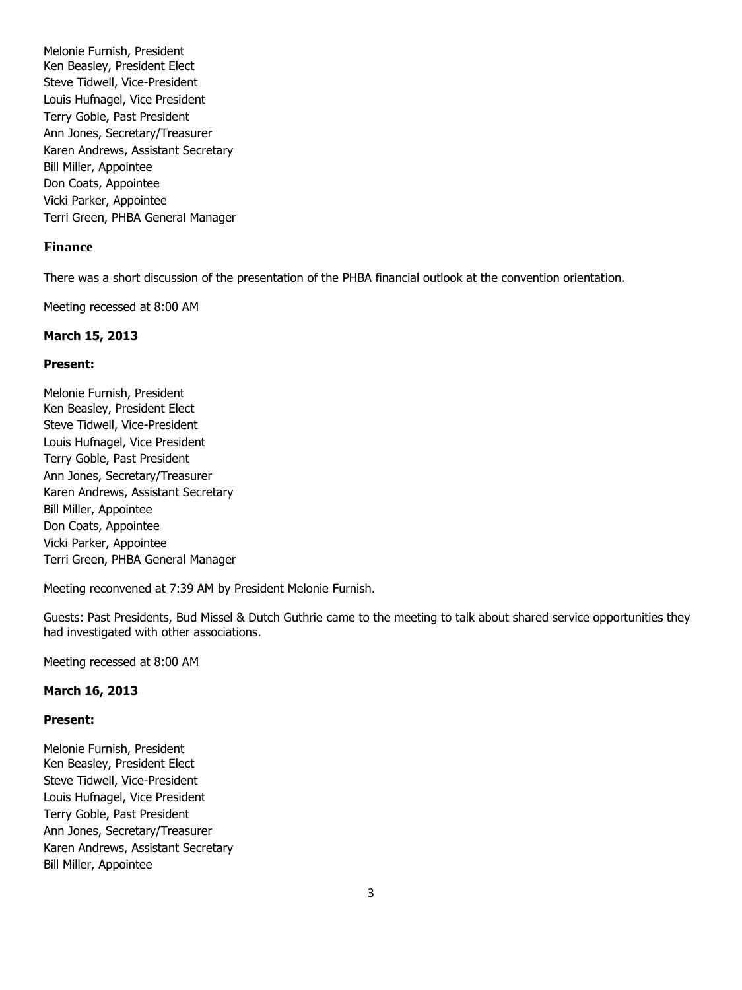Melonie Furnish, President Ken Beasley, President Elect Steve Tidwell, Vice-President Louis Hufnagel, Vice President Terry Goble, Past President Ann Jones, Secretary/Treasurer Karen Andrews, Assistant Secretary Bill Miller, Appointee Don Coats, Appointee Vicki Parker, Appointee Terri Green, PHBA General Manager

# **Finance**

There was a short discussion of the presentation of the PHBA financial outlook at the convention orientation.

Meeting recessed at 8:00 AM

### **March 15, 2013**

#### **Present:**

Melonie Furnish, President Ken Beasley, President Elect Steve Tidwell, Vice-President Louis Hufnagel, Vice President Terry Goble, Past President Ann Jones, Secretary/Treasurer Karen Andrews, Assistant Secretary Bill Miller, Appointee Don Coats, Appointee Vicki Parker, Appointee Terri Green, PHBA General Manager

Meeting reconvened at 7:39 AM by President Melonie Furnish.

Guests: Past Presidents, Bud Missel & Dutch Guthrie came to the meeting to talk about shared service opportunities they had investigated with other associations.

Meeting recessed at 8:00 AM

#### **March 16, 2013**

### **Present:**

Melonie Furnish, President Ken Beasley, President Elect Steve Tidwell, Vice-President Louis Hufnagel, Vice President Terry Goble, Past President Ann Jones, Secretary/Treasurer Karen Andrews, Assistant Secretary Bill Miller, Appointee